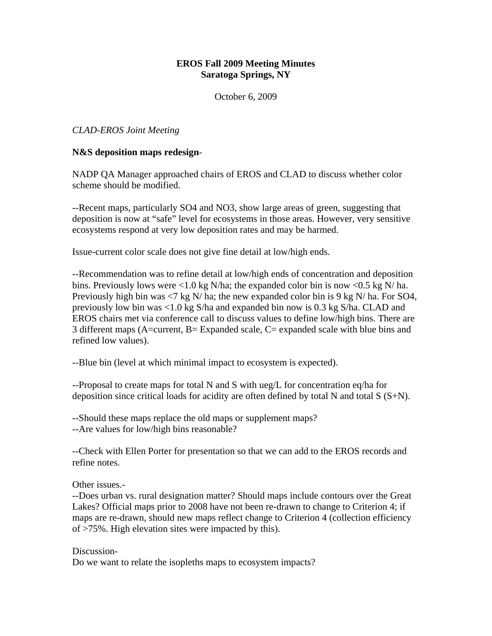# **EROS Fall 2009 Meeting Minutes Saratoga Springs, NY**

October 6, 2009

*CLAD-EROS Joint Meeting*

## **N&S deposition maps redesign**-

NADP QA Manager approached chairs of EROS and CLAD to discuss whether color scheme should be modified.

--Recent maps, particularly SO4 and NO3, show large areas of green, suggesting that deposition is now at "safe" level for ecosystems in those areas. However, very sensitive ecosystems respond at very low deposition rates and may be harmed.

Issue-current color scale does not give fine detail at low/high ends.

--Recommendation was to refine detail at low/high ends of concentration and deposition bins. Previously lows were <1.0 kg N/ha; the expanded color bin is now <0.5 kg N/ ha. Previously high bin was  $\langle 7 \text{ kg N/} \rangle$  ha; the new expanded color bin is 9 kg N/ha. For SO4, previously low bin was <1.0 kg S/ha and expanded bin now is 0.3 kg S/ha. CLAD and EROS chairs met via conference call to discuss values to define low/high bins. There are 3 different maps (A=current, B= Expanded scale, C= expanded scale with blue bins and refined low values).

--Blue bin (level at which minimal impact to ecosystem is expected).

--Proposal to create maps for total N and S with ueg/L for concentration eq/ha for deposition since critical loads for acidity are often defined by total N and total S (S+N).

--Should these maps replace the old maps or supplement maps? --Are values for low/high bins reasonable?

--Check with Ellen Porter for presentation so that we can add to the EROS records and refine notes.

Other issues.-

--Does urban vs. rural designation matter? Should maps include contours over the Great Lakes? Official maps prior to 2008 have not been re-drawn to change to Criterion 4; if maps are re-drawn, should new maps reflect change to Criterion 4 (collection efficiency of >75%. High elevation sites were impacted by this).

Discussion-

Do we want to relate the isopleths maps to ecosystem impacts?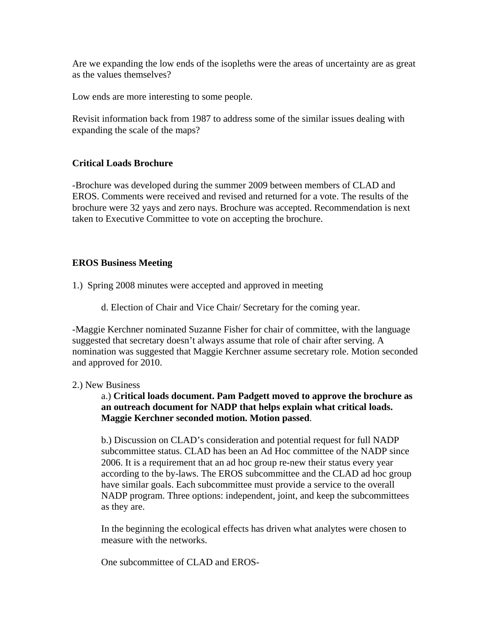Are we expanding the low ends of the isopleths were the areas of uncertainty are as great as the values themselves?

Low ends are more interesting to some people.

Revisit information back from 1987 to address some of the similar issues dealing with expanding the scale of the maps?

## **Critical Loads Brochure**

-Brochure was developed during the summer 2009 between members of CLAD and EROS. Comments were received and revised and returned for a vote. The results of the brochure were 32 yays and zero nays. Brochure was accepted. Recommendation is next taken to Executive Committee to vote on accepting the brochure.

# **EROS Business Meeting**

1.) Spring 2008 minutes were accepted and approved in meeting

d. Election of Chair and Vice Chair/ Secretary for the coming year.

-Maggie Kerchner nominated Suzanne Fisher for chair of committee, with the language suggested that secretary doesn't always assume that role of chair after serving. A nomination was suggested that Maggie Kerchner assume secretary role. Motion seconded and approved for 2010.

## 2.) New Business

a.) **Critical loads document. Pam Padgett moved to approve the brochure as an outreach document for NADP that helps explain what critical loads. Maggie Kerchner seconded motion. Motion passed**.

b.) Discussion on CLAD's consideration and potential request for full NADP subcommittee status. CLAD has been an Ad Hoc committee of the NADP since 2006. It is a requirement that an ad hoc group re-new their status every year according to the by-laws. The EROS subcommittee and the CLAD ad hoc group have similar goals. Each subcommittee must provide a service to the overall NADP program. Three options: independent, joint, and keep the subcommittees as they are.

In the beginning the ecological effects has driven what analytes were chosen to measure with the networks.

One subcommittee of CLAD and EROS-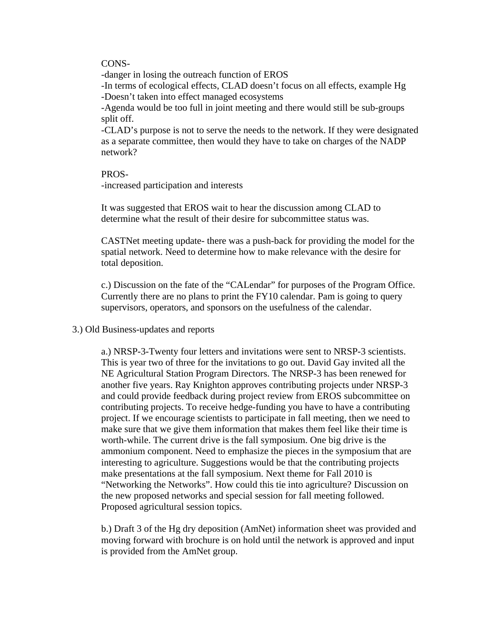#### CONS-

-danger in losing the outreach function of EROS

-In terms of ecological effects, CLAD doesn't focus on all effects, example Hg -Doesn't taken into effect managed ecosystems

-Agenda would be too full in joint meeting and there would still be sub-groups split off.

-CLAD's purpose is not to serve the needs to the network. If they were designated as a separate committee, then would they have to take on charges of the NADP network?

## PROS-

-increased participation and interests

It was suggested that EROS wait to hear the discussion among CLAD to determine what the result of their desire for subcommittee status was.

CASTNet meeting update- there was a push-back for providing the model for the spatial network. Need to determine how to make relevance with the desire for total deposition.

c.) Discussion on the fate of the "CALendar" for purposes of the Program Office. Currently there are no plans to print the FY10 calendar. Pam is going to query supervisors, operators, and sponsors on the usefulness of the calendar.

#### 3.) Old Business-updates and reports

a.) NRSP-3-Twenty four letters and invitations were sent to NRSP-3 scientists. This is year two of three for the invitations to go out. David Gay invited all the NE Agricultural Station Program Directors. The NRSP-3 has been renewed for another five years. Ray Knighton approves contributing projects under NRSP-3 and could provide feedback during project review from EROS subcommittee on contributing projects. To receive hedge-funding you have to have a contributing project. If we encourage scientists to participate in fall meeting, then we need to make sure that we give them information that makes them feel like their time is worth-while. The current drive is the fall symposium. One big drive is the ammonium component. Need to emphasize the pieces in the symposium that are interesting to agriculture. Suggestions would be that the contributing projects make presentations at the fall symposium. Next theme for Fall 2010 is "Networking the Networks". How could this tie into agriculture? Discussion on the new proposed networks and special session for fall meeting followed. Proposed agricultural session topics.

b.) Draft 3 of the Hg dry deposition (AmNet) information sheet was provided and moving forward with brochure is on hold until the network is approved and input is provided from the AmNet group.